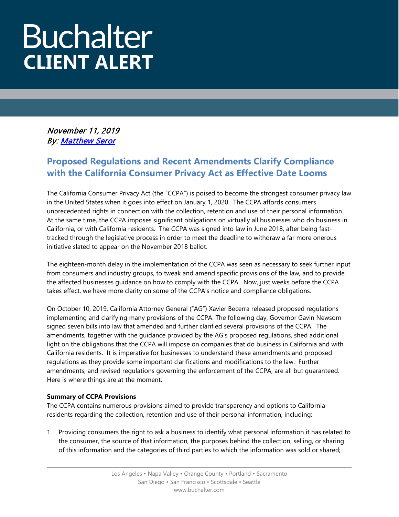# **Buchalter CLIENT ALERT**

November 11, 2019 By[: Matthew Seror](https://www.buchalter.com/attorneys/matthew-l-seror/#bio) 

## **Proposed Regulations and Recent Amendments Clarify Compliance with the California Consumer Privacy Act as Effective Date Looms**

The California Consumer Privacy Act (the "CCPA") is poised to become the strongest consumer privacy law in the United States when it goes into effect on January 1, 2020. The CCPA affords consumers unprecedented rights in connection with the collection, retention and use of their personal information. At the same time, the CCPA imposes significant obligations on virtually all businesses who do business in California, or with California residents. The CCPA was signed into law in June 2018, after being fasttracked through the legislative process in order to meet the deadline to withdraw a far more onerous initiative slated to appear on the November 2018 ballot.

The eighteen-month delay in the implementation of the CCPA was seen as necessary to seek further input from consumers and industry groups, to tweak and amend specific provisions of the law, and to provide the affected businesses guidance on how to comply with the CCPA. Now, just weeks before the CCPA takes effect, we have more clarity on some of the CCPA's notice and compliance obligations.

On October 10, 2019, California Attorney General ("AG") Xavier Becerra released proposed regulations implementing and clarifying many provisions of the CCPA. The following day, Governor Gavin Newsom signed seven bills into law that amended and further clarified several provisions of the CCPA. The amendments, together with the guidance provided by the AG's proposed regulations, shed additional light on the obligations that the CCPA will impose on companies that do business in California and with California residents. It is imperative for businesses to understand these amendments and proposed regulations as they provide some important clarifications and modifications to the law. Further amendments, and revised regulations governing the enforcement of the CCPA, are all but guaranteed. Here is where things are at the moment.

### **Summary of CCPA Provisions**

The CCPA contains numerous provisions aimed to provide transparency and options to California residents regarding the collection, retention and use of their personal information, including:

1. Providing consumers the right to ask a business to identify what personal information it has related to the consumer, the source of that information, the purposes behind the collection, selling, or sharing of this information and the categories of third parties to which the information was sold or shared;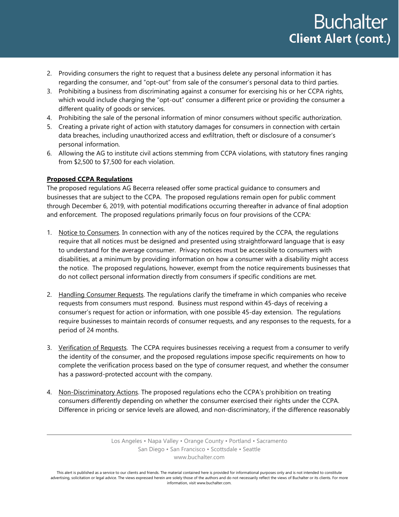- 2. Providing consumers the right to request that a business delete any personal information it has regarding the consumer, and "opt-out" from sale of the consumer's personal data to third parties.
- 3. Prohibiting a business from discriminating against a consumer for exercising his or her CCPA rights, which would include charging the "opt-out" consumer a different price or providing the consumer a different quality of goods or services.
- 4. Prohibiting the sale of the personal information of minor consumers without specific authorization.
- 5. Creating a private right of action with statutory damages for consumers in connection with certain data breaches, including unauthorized access and exfiltration, theft or disclosure of a consumer's personal information.
- 6. Allowing the AG to institute civil actions stemming from CCPA violations, with statutory fines ranging from \$2,500 to \$7,500 for each violation.

#### **Proposed CCPA Regulations**

The proposed regulations AG Becerra released offer some practical guidance to consumers and businesses that are subject to the CCPA. The proposed regulations remain open for public comment through December 6, 2019, with potential modifications occurring thereafter in advance of final adoption and enforcement. The proposed regulations primarily focus on four provisions of the CCPA:

- 1. Notice to Consumers. In connection with any of the notices required by the CCPA, the regulations require that all notices must be designed and presented using straightforward language that is easy to understand for the average consumer. Privacy notices must be accessible to consumers with disabilities, at a minimum by providing information on how a consumer with a disability might access the notice. The proposed regulations, however, exempt from the notice requirements businesses that do not collect personal information directly from consumers if specific conditions are met.
- 2. Handling Consumer Requests. The regulations clarify the timeframe in which companies who receive requests from consumers must respond. Business must respond within 45-days of receiving a consumer's request for action or information, with one possible 45-day extension. The regulations require businesses to maintain records of consumer requests, and any responses to the requests, for a period of 24 months.
- 3. Verification of Requests. The CCPA requires businesses receiving a request from a consumer to verify the identity of the consumer, and the proposed regulations impose specific requirements on how to complete the verification process based on the type of consumer request, and whether the consumer has a password-protected account with the company.
- 4. Non-Discriminatory Actions. The proposed regulations echo the CCPA's prohibition on treating consumers differently depending on whether the consumer exercised their rights under the CCPA. Difference in pricing or service levels are allowed, and non-discriminatory, if the difference reasonably

This alert is published as a service to our clients and friends. The material contained here is provided for informational purposes only and is not intended to constitute advertising, solicitation or legal advice. The views expressed herein are solely those of the authors and do not necessarily reflect the views of Buchalter or its clients. For more information, visit www.buchalter.com.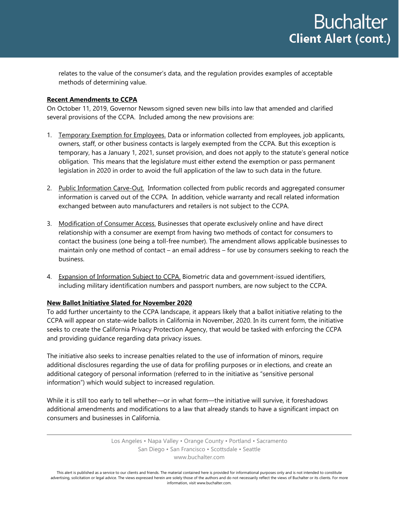relates to the value of the consumer's data, and the regulation provides examples of acceptable methods of determining value.

#### **Recent Amendments to CCPA**

On October 11, 2019, Governor Newsom signed seven new bills into law that amended and clarified several provisions of the CCPA. Included among the new provisions are:

- 1. Temporary Exemption for Employees. Data or information collected from employees, job applicants, owners, staff, or other business contacts is largely exempted from the CCPA. But this exception is temporary, has a January 1, 2021, sunset provision, and does not apply to the statute's general notice obligation. This means that the legislature must either extend the exemption or pass permanent legislation in 2020 in order to avoid the full application of the law to such data in the future.
- 2. Public Information Carve-Out. Information collected from public records and aggregated consumer information is carved out of the CCPA. In addition, vehicle warranty and recall related information exchanged between auto manufacturers and retailers is not subject to the CCPA.
- 3. Modification of Consumer Access. Businesses that operate exclusively online and have direct relationship with a consumer are exempt from having two methods of contact for consumers to contact the business (one being a toll-free number). The amendment allows applicable businesses to maintain only one method of contact – an email address – for use by consumers seeking to reach the business.
- 4. Expansion of Information Subject to CCPA. Biometric data and government-issued identifiers, including military identification numbers and passport numbers, are now subject to the CCPA.

#### **New Ballot Initiative Slated for November 2020**

To add further uncertainty to the CCPA landscape, it appears likely that a ballot initiative relating to the CCPA will appear on state-wide ballots in California in November, 2020. In its current form, the initiative seeks to create the California Privacy Protection Agency, that would be tasked with enforcing the CCPA and providing guidance regarding data privacy issues.

The initiative also seeks to increase penalties related to the use of information of minors, require additional disclosures regarding the use of data for profiling purposes or in elections, and create an additional category of personal information (referred to in the initiative as "sensitive personal information") which would subject to increased regulation.

While it is still too early to tell whether—or in what form—the initiative will survive, it foreshadows additional amendments and modifications to a law that already stands to have a significant impact on consumers and businesses in California.

> Los Angeles • Napa Valley • Orange County • Portland • Sacramento San Diego • San Francisco • Scottsdale • Seattle www.buchalter.com

This alert is published as a service to our clients and friends. The material contained here is provided for informational purposes only and is not intended to constitute advertising, solicitation or legal advice. The views expressed herein are solely those of the authors and do not necessarily reflect the views of Buchalter or its clients. For more information, visit www.buchalter.com.